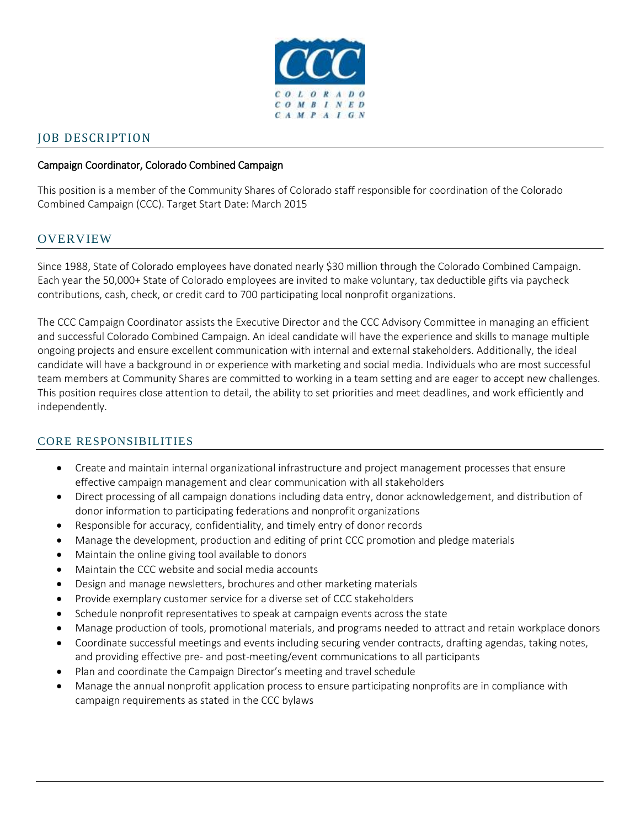

# JOB DESCRIPTION

#### Campaign Coordinator, Colorado Combined Campaign

This position is a member of the Community Shares of Colorado staff responsible for coordination of the Colorado Combined Campaign (CCC). Target Start Date: March 2015

## **OVERVIEW**

Since 1988, State of Colorado employees have donated nearly \$30 million through the Colorado Combined Campaign. Each year the 50,000+ State of Colorado employees are invited to make voluntary, tax deductible gifts via paycheck contributions, cash, check, or credit card to 700 participating local nonprofit organizations.

The CCC Campaign Coordinator assists the Executive Director and the CCC Advisory Committee in managing an efficient and successful Colorado Combined Campaign. An ideal candidate will have the experience and skills to manage multiple ongoing projects and ensure excellent communication with internal and external stakeholders. Additionally, the ideal candidate will have a background in or experience with marketing and social media. Individuals who are most successful team members at Community Shares are committed to working in a team setting and are eager to accept new challenges. This position requires close attention to detail, the ability to set priorities and meet deadlines, and work efficiently and independently.

#### CORE RESPONSIBILITIES

- Create and maintain internal organizational infrastructure and project management processes that ensure effective campaign management and clear communication with all stakeholders
- Direct processing of all campaign donations including data entry, donor acknowledgement, and distribution of donor information to participating federations and nonprofit organizations
- Responsible for accuracy, confidentiality, and timely entry of donor records
- Manage the development, production and editing of print CCC promotion and pledge materials
- Maintain the online giving tool available to donors
- Maintain the CCC website and social media accounts
- Design and manage newsletters, brochures and other marketing materials
- Provide exemplary customer service for a diverse set of CCC stakeholders
- Schedule nonprofit representatives to speak at campaign events across the state
- Manage production of tools, promotional materials, and programs needed to attract and retain workplace donors
- Coordinate successful meetings and events including securing vender contracts, drafting agendas, taking notes, and providing effective pre- and post-meeting/event communications to all participants
- Plan and coordinate the Campaign Director's meeting and travel schedule
- Manage the annual nonprofit application process to ensure participating nonprofits are in compliance with campaign requirements as stated in the CCC bylaws